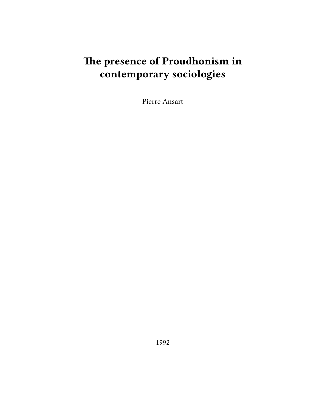# **The presence of Proudhonism in contemporary sociologies**

Pierre Ansart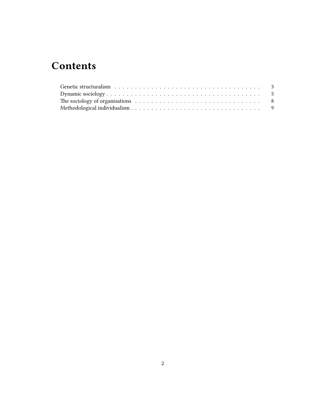## **Contents**

| The sociology of organisations $\ldots \ldots \ldots \ldots \ldots \ldots \ldots \ldots \ldots \ldots$ |  |
|--------------------------------------------------------------------------------------------------------|--|
|                                                                                                        |  |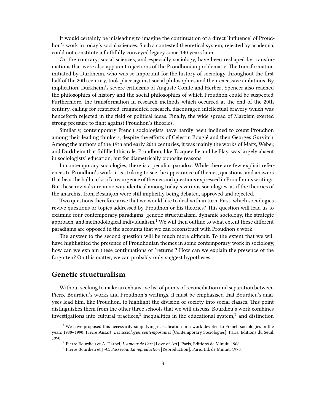It would certainly be misleading to imagine the continuation of a direct 'influence' of Proudhon's work in today's social sciences. Such a contested theoretical system, rejected by academia, could not constitute a faithfully conveyed legacy some 130 years later.

On the contrary, social sciences, and especially sociology, have been reshaped by transformations that were also apparent rejections of the Proudhonian problematic. The transformation initiated by Durkheim, who was so important for the history of sociology throughout the first half of the 20th century, took place against social philosophies and their excessive ambitions. By implication, Durkheim's severe criticisms of Auguste Comte and Herbert Spencer also reached the philosophies of history and the social philosophies of which Proudhon could be suspected. Furthermore, the transformation in research methods which occurred at the end of the 20th century, calling for restricted, fragmented research, discouraged intellectual bravery which was henceforth rejected in the field of political ideas. Finally, the wide spread of Marxism exerted strong pressure to fight against Proudhon's theories.

Similarly, contemporary French sociologists have hardly been inclined to count Proudhon among their leading thinkers, despite the efforts of Célestin Bouglé and then Georges Gurvitch. Among the authors of the 19th and early 20th centuries, it was mainly the works of Marx, Weber, and Durkheim that fulfilled this role. Proudhon, like Tocqueville and Le Play, was largely absent in sociologists' education, but for diametrically opposite reasons.

In contemporary sociologies, there is a peculiar paradox. While there are few explicit references to Proudhon's work, it is striking to see the appearance of themes, questions, and answers that bear the hallmarks of a resurgence of themes and questions expressed in Proudhon's writings. But these revivals are in no way identical among today's various sociologies, as if the theories of the anarchist from Besançon were still implicitly being debated, approved and rejected.

Two questions therefore arise that we would like to deal with in turn. First, which sociologies revive questions or topics addressed by Proudhon or his theories? This question will lead us to examine four contemporary paradigms: genetic structuralism, dynamic sociology, the strategic approach, and methodological individualism.<sup>1</sup> We will then outline to what extent these different paradigms are opposed in the accounts that we can reconstruct with Proudhon's work.

The answer to the second question will be much more difficult. To the extent that we will have highlighted the presence of Proudhonian themes in some contemporary work in sociology, how can we explain these continuations or 'returns'? How can we explain the presence of the forgotten? On this matter, we can probably only suggest hypotheses.

#### <span id="page-2-0"></span>**Genetic structuralism**

Without seeking to make an exhaustive list of points of reconciliation and separation between Pierre Bourdieu's works and Proudhon's writings, it must be emphasised that Bourdieu's analyses lead him, like Proudhon, to highlight the division of society into social classes. This point distinguishes them from the other three schools that we will discuss. Bourdieu's work combines investigations into cultural practices,<sup>2</sup> inequalities in the educational system,<sup>3</sup> and distinction

 $1$ <sup>We</sup> have proposed this necessarily simplifying classification in a work devoted to French sociologies in the years 1980–1990: Pierre Ansart, *Les sociologies contemporaines* [Contemporary Sociologies], Paris, Editions du Seuil, 1990.

<sup>2</sup> Pierre Bourdieu et A. Darbel, *L'amour de l'art* [Love of Art], Paris, Editions de Minuit, 1966.

<sup>3</sup> Pierre Bourdieu et J.-C. Passeron, *La reproduction* [Reproduction], Paris, Ed. de Minuit, 1970.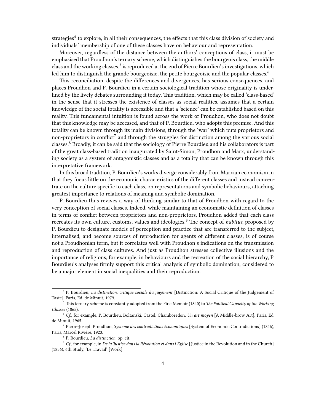strategies ${}^4$  to explore, in all their consequences, the effects that this class division of society and individuals' membership of one of these classes have on behaviour and representation.

Moreover, regardless of the distance between the authors' conceptions of class, it must be emphasised that Proudhon's ternary scheme, which distinguishes the bourgeois class, the middle class and the working classes,<sup>5</sup> is reproduced at the end of Pierre Bourdieu's investigations, which led him to distinguish the grande bourgeoisie, the petite bourgeoisie and the popular classes. $6$ 

This reconciliation, despite the differences and divergences, has serious consequences, and places Proudhon and P. Bourdieu in a certain sociological tradition whose originality is underlined by the lively debates surrounding it today. This tradition, which may be called 'class-based' in the sense that it stresses the existence of classes as social realities, assumes that a certain knowledge of the social totality is accessible and that a 'science' can be established based on this reality. This fundamental intuition is found across the work of Proudhon, who does not doubt that this knowledge may be accessed, and that of P. Bourdieu, who adopts this premise. And this totality can be known through its main divisions, through the 'war' which puts proprietors and non-proprietors in conflict<sup>7</sup> and through the struggles for distinction among the various social classes.<sup>8</sup> Broadly, it can be said that the sociology of Pierre Bourdieu and his collaborators is part of the great class-based tradition inaugurated by Saint-Simon, Proudhon and Marx, understanding society as a system of antagonistic classes and as a totality that can be known through this interpretative framework.

In this broad tradition, P. Bourdieu's works diverge considerably from Marxian economism in that they focus little on the economic characteristics of the different classes and instead concentrate on the culture specific to each class, on representations and symbolic behaviours, attaching greatest importance to relations of meaning and symbolic domination.

P. Bourdieu thus revives a way of thinking similar to that of Proudhon with regard to the very conception of social classes. Indeed, while maintaining an economistic definition of classes in terms of conflict between proprietors and non-proprietors, Proudhon added that each class recreates its own culture, customs, values and ideologies.<sup>9</sup> The concept of *habitus*, proposed by P. Bourdieu to designate models of perception and practice that are transferred to the subject, internalised, and become sources of reproduction for agents of different classes, is of course not a Proudhonian term, but it correlates well with Proudhon's indications on the transmission and reproduction of class cultures. And just as Proudhon stresses collective illusions and the importance of religions, for example, in behaviours and the recreation of the social hierarchy, P. Bourdieu's analyses firmly support this critical analysis of symbolic domination, considered to be a major element in social inequalities and their reproduction.

<sup>4</sup> P. Bourdieu, *La distinction, critique sociale du jugement* [Distinction: A Social Critique of the Judgement of Taste], Paris, Ed. de Minuit, 1979.

<sup>5</sup> This ternary scheme is constantly adopted from the First Memoir (1840) to *The Political Capacity of the Working Classes* (1865).

<sup>6</sup> *Cf*., for example, P. Bourdieu, Boltanski, Castel, Chamboredon, *Un art moyen* [A Middle-brow Art], Paris, Ed. de Minuit, 1965.

<sup>7</sup> Pierre-Joseph Proudhon, *Système des contradictions économiques* [System of Economic Contradictions] (1846), Paris, Marcel Rivière, 1923.

<sup>8</sup> P. Bourdieu, *La distinction*, op. cit.

<sup>9</sup> *Cf*., for example, in *De la Justice dans la Révolution et dans l'Eglise* [Justice in the Revolution and in the Church] (1856), 6th Study, 'Le Travail' [Work].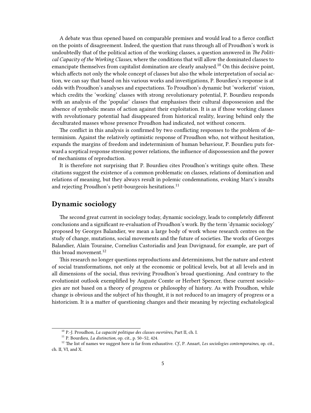A debate was thus opened based on comparable premises and would lead to a fierce conflict on the points of disagreement. Indeed, the question that runs through all of Proudhon's work is undoubtedly that of the political action of the working classes, a question answered in *The Political Capacity of the Working Classes*, where the conditions that will allow the dominated classes to emancipate themselves from capitalist domination are clearly analysed.<sup>10</sup> On this decisive point, which affects not only the whole concept of classes but also the whole interpretation of social action, we can say that based on his various works and investigations, P. Bourdieu's response is at odds with Proudhon's analyses and expectations. To Proudhon's dynamic but 'workerist' vision, which credits the 'working' classes with strong revolutionary potential, P. Bourdieu responds with an analysis of the 'popular' classes that emphasises their cultural dispossession and the absence of symbolic means of action against their exploitation. It is as if those working classes with revolutionary potential had disappeared from historical reality, leaving behind only the deculturated masses whose presence Proudhon had indicated, not without concern.

The conflict in this analysis is confirmed by two conflicting responses to the problem of determinism. Against the relatively optimistic response of Proudhon who, not without hesitation, expands the margins of freedom and indeterminism of human behaviour, P. Bourdieu puts forward a sceptical response stressing power relations, the influence of dispossession and the power of mechanisms of reproduction.

It is therefore not surprising that P. Bourdieu cites Proudhon's writings quite often. These citations suggest the existence of a common problematic on classes, relations of domination and relations of meaning, but they always result in polemic condemnations, evoking Marx's insults and rejecting Proudhon's petit-bourgeois hesitations.<sup>11</sup>

#### <span id="page-4-0"></span>**Dynamic sociology**

The second great current in sociology today, dynamic sociology, leads to completely different conclusions and a significant re-evaluation of Proudhon's work. By the term 'dynamic sociology' proposed by Georges Balandier, we mean a large body of work whose research centres on the study of change, mutations, social movements and the future of societies. The works of Georges Balandier, Alain Touraine, Cornelius Castoriadis and Jean Duvignaud, for example, are part of this broad movement. $12$ 

This research no longer questions reproductions and determinisms, but the nature and extent of social transformations, not only at the economic or political levels, but at all levels and in all dimensions of the social, thus reviving Proudhon's broad questioning. And contrary to the evolutionist outlook exemplified by Auguste Comte or Herbert Spencer, these current sociologies are not based on a theory of progress or philosophy of history. As with Proudhon, while change is obvious and the subject of his thought, it is not reduced to an imagery of progress or a historicism. It is a matter of questioning changes and their meaning by rejecting eschatological

<sup>10</sup> P.-J. Proudhon, *La capacité politique des classes ouvrières*, Part II, ch. I.

<sup>11</sup> P. Bourdieu, *La distinction*, op. cit., p. 50–52, 424.

<sup>12</sup> The list of names we suggest here is far from exhaustive. *Cf*., P. Ansart, *Les sociologies contemporaines*, op. cit., ch. II, VI, and X.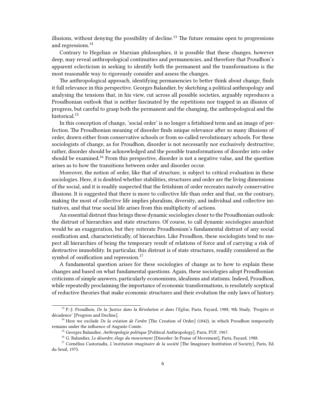illusions, without denying the possibility of decline.<sup>13</sup> The future remains open to progressions and regressions.<sup>14</sup>

Contrary to Hegelian or Marxian philosophies, it is possible that these changes, however deep, may reveal anthropological continuities and permanencies, and therefore that Proudhon's apparent eclecticism in seeking to identify both the permanent and the transformations is the most reasonable way to rigorously consider and assess the changes.

The anthropological approach, identifying permanencies to better think about change, finds it full relevance in this perspective. Georges Balandier, by sketching a political anthropology and analysing the tensions that, in his view, cut across all possible societies, arguably reproduces a Proudhonian outlook that is neither fascinated by the repetitions nor trapped in an illusion of progress, but careful to grasp both the permanent and the changing, the anthropological and the historical.<sup>15</sup>

In this conception of change, 'social order' is no longer a fetishised term and an image of perfection. The Proudhonian meaning of disorder finds unique relevance after so many illusions of order, drawn either from conservative schools or from so-called revolutionary schools. For these sociologists of change, as for Proudhon, disorder is not necessarily nor exclusively destructive; rather, disorder should be acknowledged and the possible transformations of disorder into order should be examined.<sup>16</sup> From this perspective, disorder is not a negative value, and the question arises as to how the transitions between order and disorder occur.

Moreover, the notion of order, like that of structure, is subject to critical evaluation in these sociologies. Here, it is doubted whether stabilities, structures and order are the living dimensions of the social, and it is readily suspected that the fetishism of order recreates naively conservative illusions. It is suggested that there is more to collective life than order and that, on the contrary, making the most of collective life implies pluralism, diversity, and individual and collective initiatives, and that true social life arises from this multiplicity of actions.

An essential distrust thus brings these dynamic sociologies closer to the Proudhonian outlook: the distrust of hierarchies and state structures. Of course, to call dynamic sociologies anarchist would be an exaggeration, but they reiterate Proudhonism's fundamental distrust of any social ossification and, characteristically, of hierarchies. Like Proudhon, these sociologists tend to suspect all hierarchies of being the temporary result of relations of force and of carrying a risk of destructive immobility. In particular, this distrust is of state structures, readily considered as the symbol of ossification and repression.<sup>17</sup>

A fundamental question arises for these sociologies of change as to how to explain these changes and based on what fundamental questions. Again, these sociologies adopt Proudhonian criticisms of simple answers, particularly economisms, idealisms and statisms. Indeed, Proudhon, while repeatedly proclaiming the importance of economic transformations, is resolutely sceptical of reductive theories that make economic structures and their evolution the only laws of history.

<sup>13</sup> P.-J. Proudhon, *De la Justice dans la Révolution et dans l'Eglise*, Paris, Fayard, 1988, 9th Study, 'Progrès et décadence' [Progress and Decline].

<sup>14</sup> Here we exclude *De la création de l'ordre* [The Creation of Order] (1842), in which Proudhon temporarily remains under the influence of Auguste Comte.

<sup>15</sup> Georges Balandier, *Anthropologie politique* [Political Anthropology], Paris, PUF, 1967.

<sup>16</sup> G. Balandier, *Le désordre; éloge du mouvement* [Disorder: In Praise of Movement], Paris, Fayard, 1988.

<sup>17</sup> Cornélius Castoriadis, *L'institution imaginaire de la société* [The Imaginary Institution of Society], Paris, Ed. du Seuil, 1975.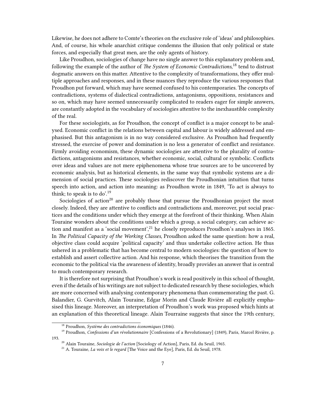Likewise, he does not adhere to Comte's theories on the exclusive role of 'ideas' and philosophies. And, of course, his whole anarchist critique condemns the illusion that only political or state forces, and especially that great men, are the only agents of history.

Like Proudhon, sociologies of change have no single answer to this explanatory problem and, following the example of the author of *The System of Economic Contradictions*, <sup>18</sup> tend to distrust dogmatic answers on this matter. Attentive to the complexity of transformations, they offer multiple approaches and responses, and in these nuances they reproduce the various responses that Proudhon put forward, which may have seemed confused to his contemporaries. The concepts of contradictions, systems of dialectical contradictions, antagonisms, oppositions, resistances and so on, which may have seemed unnecessarily complicated to readers eager for simple answers, are constantly adopted in the vocabulary of sociologies attentive to the inexhaustible complexity of the real.

For these sociologists, as for Proudhon, the concept of conflict is a major concept to be analysed. Economic conflict in the relations between capital and labour is widely addressed and emphasised. But this antagonism is in no way considered exclusive. As Proudhon had frequently stressed, the exercise of power and domination is no less a generator of conflict and resistance. Firmly avoiding economism, these dynamic sociologies are attentive to the plurality of contradictions, antagonisms and resistances, whether economic, social, cultural or symbolic. Conflicts over ideas and values are not mere epiphenomena whose true sources are to be uncovered by economic analysis, but as historical elements, in the same way that symbolic systems are a dimension of social practices. These sociologies rediscover the Proudhonian intuition that turns speech into action, and action into meaning: as Proudhon wrote in 1849, 'To act is always to think; to speak is to do'.<sup>19</sup>

Sociologies of action<sup>20</sup> are probably those that pursue the Proudhonian project the most closely. Indeed, they are attentive to conflicts and contradictions and, moreover, put social practices and the conditions under which they emerge at the forefront of their thinking. When Alain Touraine wonders about the conditions under which a group, a social category, can achieve action and manifest as a 'social movement',<sup>21</sup> he closely reproduces Proudhon's analyses in 1865. In *The Political Capacity of the Working Classes*, Proudhon asked the same question: how a real, objective class could acquire 'political capacity' and thus undertake collective action. He thus ushered in a problematic that has become central to modern sociologies: the question of how to establish and assert collective action. And his response, which theorises the transition from the economic to the political via the awareness of identity, broadly provides an answer that is central to much contemporary research.

It is therefore not surprising that Proudhon's work is read positively in this school of thought, even if the details of his writings are not subject to dedicated research by these sociologies, which are more concerned with analysing contemporary phenomena than commemorating the past. G. Balandier, G. Gurvitch, Alain Touraine, Edgar Morin and Claude Rivière all explicitly emphasised this lineage. Moreover, an interpretation of Proudhon's work was proposed which hints at an explanation of this theoretical lineage. Alain Tourraine suggests that since the 19th century,

<sup>18</sup> Proudhon, *Système des contradictions économiques* (1846).

<sup>19</sup> Proudhon, *Confessions d'un révolutionnaire* [Confessions of a Revolutionary] (1849), Paris, Marcel Rivière, p. 193.

<sup>20</sup> Alain Touraine, *Sociologie de l'action* [Sociology of Action], Paris, Ed. du Seuil, 1965.

<sup>21</sup> A. Touraine, *La voix et le regard* [The Voice and the Eye], Paris, Ed. du Seuil, 1978.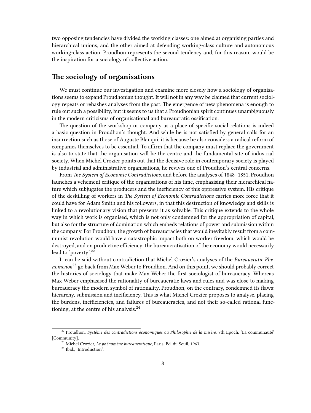two opposing tendencies have divided the working classes: one aimed at organising parties and hierarchical unions, and the other aimed at defending working-class culture and autonomous working-class action. Proudhon represents the second tendency and, for this reason, would be the inspiration for a sociology of collective action.

### <span id="page-7-0"></span>**The sociology of organisations**

We must continue our investigation and examine more closely how a sociology of organisations seems to expand Proudhonian thought. It will not in any way be claimed that current sociology repeats or rehashes analyses from the past. The emergence of new phenomena is enough to rule out such a possibility, but it seems to us that a Proudhonian spirit continues unambiguously in the modern criticisms of organisational and bureaucratic ossification.

The question of the workshop or company as a place of specific social relations is indeed a basic question in Proudhon's thought. And while he is not satisfied by general calls for an insurrection such as those of Auguste Blanqui, it is because he also considers a radical reform of companies themselves to be essential. To affirm that the company must replace the government is also to state that the organisation will be the centre and the fundamental site of industrial society. When Michel Crozier points out that the decisive role in contemporary society is played by industrial and administrative organisations, he revives one of Proudhon's central concerns.

From *The System of Economic Contradictions*, and before the analyses of 1848–1851, Proudhon launches a vehement critique of the organisations of his time, emphasising their hierarchical nature which subjugates the producers and the inefficiency of this oppressive system. His critique of the deskilling of workers in *The System of Economic Contradictions* carries more force that it could have for Adam Smith and his followers, in that this destruction of knowledge and skills is linked to a revolutionary vision that presents it as solvable. This critique extends to the whole way in which work is organised, which is not only condemned for the appropriation of capital, but also for the structure of domination which embeds relations of power and submission within the company. For Proudhon, the growth of bureaucracies that would inevitably result from a communist revolution would have a catastrophic impact both on worker freedom, which would be destroyed, and on productive efficiency: the bureaucratisation of the economy would necessarily lead to 'poverty'.<sup>22</sup>

It can be said without contradiction that Michel Crozier's analyses of the *Bureaucratic Phenomenon*<sup>23</sup> go back from Max Weber to Proudhon. And on this point, we should probably correct the histories of sociology that make Max Weber the first sociologist of bureaucracy. Whereas Max Weber emphasised the rationality of bureaucratic laws and rules and was close to making bureaucracy the modern symbol of rationality, Proudhon, on the contrary, condemned its flaws: hierarchy, submission and inefficiency. This is what Michel Crozier proposes to analyse, placing the burdens, inefficiencies, and failures of bureaucracies, and not their so-called rational functioning, at the centre of his analysis. $^{24}$ 

<sup>22</sup> Proudhon, *Système des contradictions économiques ou Philosophie de la misère*, 9th Epoch, 'La communauté' [Community].

<sup>23</sup> Michel Crozier, *Le phénomène bureaucratique*, Paris, Ed. du Seuil, 1963.

<sup>&</sup>lt;sup>24</sup> Ibid., 'Introduction'.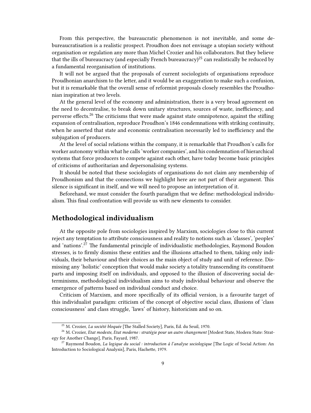From this perspective, the bureaucratic phenomenon is not inevitable, and some debureaucratisation is a realistic prospect. Proudhon does not envisage a utopian society without organisation or regulation any more than Michel Crozier and his collaborators. But they believe that the ills of bureaucracy (and especially French bureaucracy)<sup>25</sup> can realistically be reduced by a fundamental reorganisation of institutions.

It will not be argued that the proposals of current sociologists of organisations reproduce Proudhonian anarchism to the letter, and it would be an exaggeration to make such a confusion, but it is remarkable that the overall sense of reformist proposals closely resembles the Proudhonian inspiration at two levels.

At the general level of the economy and administration, there is a very broad agreement on the need to decentralise, to break down unitary structures, sources of waste, inefficiency, and perverse effects.<sup>26</sup> The criticisms that were made against state omnipotence, against the stifling expansion of centralisation, reproduce Proudhon's 1846 condemnations with striking continuity, when he asserted that state and economic centralisation necessarily led to inefficiency and the subjugation of producers.

At the level of social relations within the company, it is remarkable that Proudhon's calls for worker autonomy within what he calls 'worker companies', and his condemnation of hierarchical systems that force producers to compete against each other, have today become basic principles of criticisms of authoritarian and depersonalising systems.

It should be noted that these sociologists of organisations do not claim any membership of Proudhonism and that the connections we highlight here are not part of their argument. This silence is significant in itself, and we will need to propose an interpretation of it.

Beforehand, we must consider the fourth paradigm that we define: methodological individualism. This final confrontation will provide us with new elements to consider.

#### <span id="page-8-0"></span>**Methodological individualism**

At the opposite pole from sociologies inspired by Marxism, sociologies close to this current reject any temptation to attribute consciousness and reality to notions such as 'classes', 'peoples' and 'nations'.<sup>27</sup> The fundamental principle of individualistic methodologies, Raymond Boudon stresses, is to firmly dismiss these entities and the illusions attached to them, taking only individuals, their behaviour and their choices as the main object of study and unit of reference. Dismissing any 'holistic' conception that would make society a totality transcending its constituent parts and imposing itself on individuals, and opposed to the illusion of discovering social determinisms, methodological individualism aims to study individual behaviour and observe the emergence of patterns based on individual conduct and choice.

Criticism of Marxism, and more specifically of its official version, is a favourite target of this individualist paradigm: criticism of the concept of objective social class, illusions of 'class consciousness' and class struggle, 'laws' of history, historicism and so on.

<sup>25</sup> M. Crozier, *La société bloquée* [The Stalled Society], Paris, Ed. du Seuil, 1970.

<sup>&</sup>lt;sup>26</sup> M. Crozier, *Etat modeste, Etat moderne : stratégie pour un autre changement* [Modest State, Modern State: Strategy for Another Change], Paris, Fayard, 1987.

<sup>27</sup> Raymond Boudon, *La logique du social : introduction à l'analyse sociologique* [The Logic of Social Action: An Introduction to Sociological Analysis], Paris, Hachette, 1979.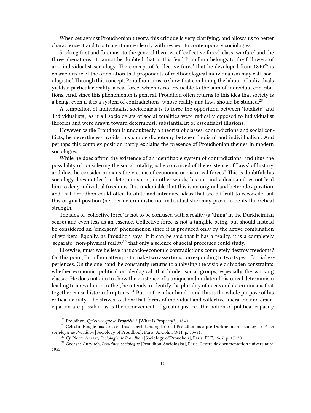When set against Proudhonian theory, this critique is very clarifying, and allows us to better characterise it and to situate it more clearly with respect to contemporary sociologies.

Sticking first and foremost to the general theories of 'collective force', class 'warfare' and the three alienations, it cannot be doubted that in this feud Proudhon belongs to the followers of anti-individualist sociology. The concept of 'collective force' that he developed from  $1840^{28}$  is characteristic of the orientation that proponents of methodological individualism may call 'sociologistic'. Through this concept, Proudhon aims to show that combining the labour of individuals yields a particular reality, a real force, which is not reducible to the sum of individual contributions. And, since this phenomenon is general, Proudhon often returns to this idea that society is a being, even if it is a system of contradictions, whose reality and laws should be studied.<sup>29</sup>

A temptation of individualist sociologists is to force the opposition between 'totalists' and 'individualists', as if all sociologists of social totalities were radically opposed to individualist theories and were drawn toward determinist, substantialist or essentialist illusions.

However, while Proudhon is undoubtedly a theorist of classes, contradictions and social conflicts, he nevertheless avoids this simple dichotomy between 'holism' and individualism. And perhaps this complex position partly explains the presence of Proudhonian themes in modern sociologies.

While he does affirm the existence of an identifiable system of contradictions, and thus the possibility of considering the social totality, is he convinced of the existence of 'laws' of history, and does he consider humans the victims of economic or historical forces? This is doubtful: his sociology does not lead to determinism or, in other words, his anti-individualism does not lead him to deny individual freedoms. It is undeniable that this is an original and heterodox position, and that Proudhon could often hesitate and introduce ideas that are difficult to reconcile, but this original position (neither deterministic nor individualistic) may prove to be its theoretical strength.

The idea of 'collective force' is not to be confused with a reality (a 'thing' in the Durkheimian sense) and even less as an essence. Collective force is not a tangible being, but should instead be considered an 'emergent' phenomenon since it is produced only by the active combination of workers. Equally, as Proudhon says, if it can be said that it has a reality, it is a completely 'separate', non-physical reality<sup>30</sup> that only a science of social processes could study.

Likewise, must we believe that socio-economic contradictions completely destroy freedoms? On this point, Proudhon attempts to make two assertions corresponding to two types of social experiences. On the one hand, he constantly returns to analysing the visible or hidden constraints, whether economic, political or ideological, that hinder social groups, especially the working classes. He does not aim to show the existence of a unique and unilateral historical determinism leading to a revolution; rather, he intends to identify the plurality of needs and determinisms that together cause historical ruptures.<sup>31</sup> But on the other hand  $-$  and this is the whole purpose of his critical activity – he strives to show that forms of individual and collective liberation and emancipation are possible, as is the achievement of greater justice. The notion of political capacity

<sup>28</sup> Proudhon, *Qu'est-ce que la Propriété ?* [What Is Property?], 1840.

<sup>29</sup> Célestin Bouglé has stressed this aspect, tending to treat Proudhon as a pre-Durkheimian sociologist; *cf*. *La sociologie de Proudhon* [Sociology of Proudhon], Paris, A. Colin, 1911, p. 70–81.

<sup>30</sup> *Cf*. Pierre Ansart, *Sociologie de Proudhon* [Sociology of Proudhon], Paris, PUF, 1967, p. 17–30.

<sup>31</sup> Georges Gurvitch, *Proudhon sociologue* [Proudhon, Sociologist], Paris, Centre de documentation universitaire, 1955.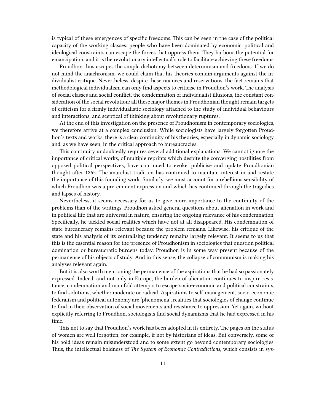is typical of these emergences of specific freedoms. This can be seen in the case of the political capacity of the working classes: people who have been dominated by economic, political and ideological constraints can escape the forces that oppress them. They harbour the potential for emancipation, and it is the revolutionary intellectual's role to facilitate achieving these freedoms.

Proudhon thus escapes the simple dichotomy between determinism and freedoms. If we do not mind the anachronism, we could claim that his theories contain arguments against the individualist critique. Nevertheless, despite these nuances and reservations, the fact remains that methodological individualism can only find aspects to criticise in Proudhon's work. The analysis of social classes and social conflict, the condemnation of individualist illusions, the constant consideration of the social revolution: all these major themes in Proudhonian thought remain targets of criticism for a firmly individualistic sociology attached to the study of individual behaviours and interactions, and sceptical of thinking about revolutionary ruptures.

At the end of this investigation on the presence of Proudhonism in contemporary sociologies, we therefore arrive at a complex conclusion. While sociologists have largely forgotten Proudhon's texts and works, there is a clear continuity of his theories, especially in dynamic sociology and, as we have seen, in the critical approach to bureaucracies.

This continuity undoubtedly requires several additional explanations. We cannot ignore the importance of critical works, of multiple reprints which despite the converging hostilities from opposed political perspectives, have continued to evoke, publicise and update Proudhonian thought after 1865. The anarchist tradition has continued to maintain interest in and restate the importance of this founding work. Similarly, we must account for a rebellious sensibility of which Proudhon was a pre-eminent expression and which has continued through the tragedies and lapses of history.

Nevertheless, it seems necessary for us to give more importance to the continuity of the problems than of the writings. Proudhon asked general questions about alienation in work and in political life that are universal in nature, ensuring the ongoing relevance of his condemnation. Specifically, he tackled social realities which have not at all disappeared. His condemnation of state bureaucracy remains relevant because the problem remains. Likewise, his critique of the state and his analysis of its centralising tendency remains largely relevant. It seems to us that this is the essential reason for the presence of Proudhonism in sociologies that question political domination or bureaucratic burdens today. Proudhon is in some way present because of the permanence of his objects of study. And in this sense, the collapse of communism is making his analyses relevant again.

But it is also worth mentioning the permanence of the aspirations that he had so passionately expressed. Indeed, and not only in Europe, the burden of alienation continues to inspire resistance, condemnation and manifold attempts to escape socio-economic and political constraints, to find solutions, whether moderate or radical. Aspirations to self-management, socio-economic federalism and political autonomy are 'phenomena', realities that sociologies of change continue to find in their observation of social movements and resistance to oppression. Yet again, without explicitly referring to Proudhon, sociologists find social dynamisms that he had expressed in his time.

This not to say that Proudhon's work has been adopted in its entirety. The pages on the status of women are well forgotten, for example, if not by historians of ideas. But conversely, some of his bold ideas remain misunderstood and to some extent go beyond contemporary sociologies. Thus, the intellectual boldness of *The System of Economic Contradictions*, which consists in sys-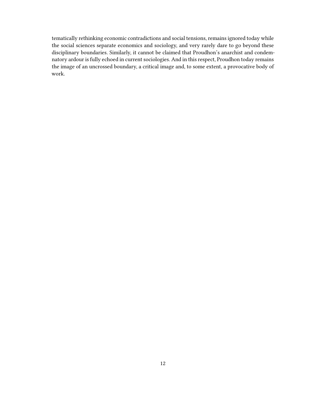tematically rethinking economic contradictions and social tensions, remains ignored today while the social sciences separate economics and sociology, and very rarely dare to go beyond these disciplinary boundaries. Similarly, it cannot be claimed that Proudhon's anarchist and condemnatory ardour is fully echoed in current sociologies. And in this respect, Proudhon today remains the image of an uncrossed boundary, a critical image and, to some extent, a provocative body of work.